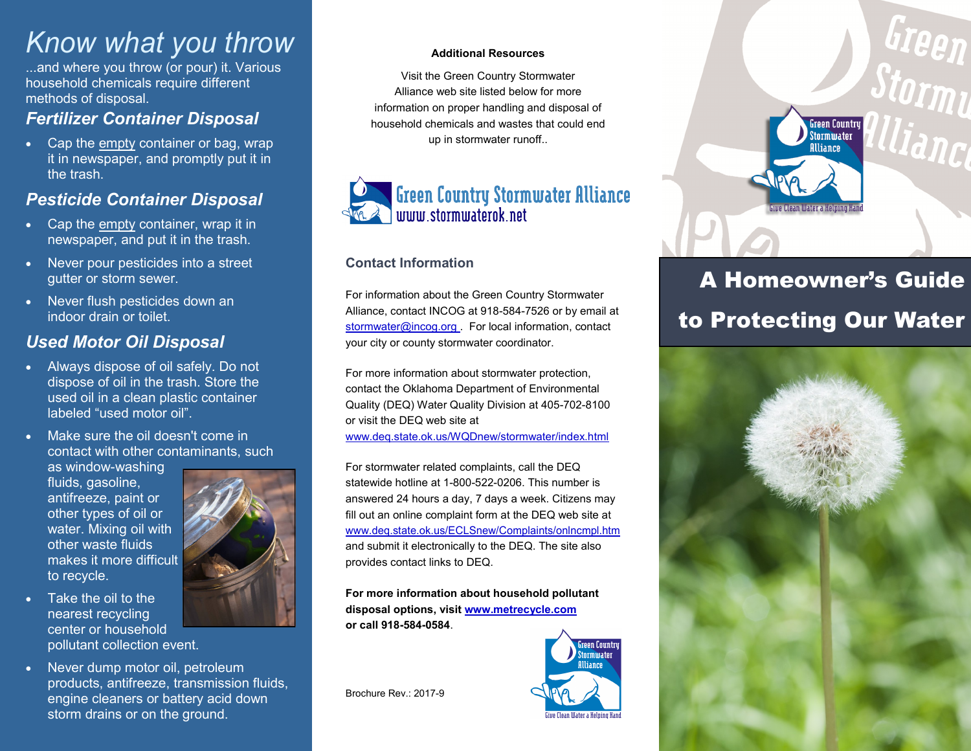# *Know what you throw*

...and where you throw (or pour) it. Various household chemicals require different methods of disposal.

# *Fertilizer Container Disposal*

 Cap the empty container or bag, wrap it in newspaper, and promptly put it in the trash.

# *Pesticide Container Disposal*

- Cap the empty container, wrap it in newspaper, and put it in the trash.
- Never pour pesticides into a street gutter or storm sewer.
- Never flush pesticides down an indoor drain or toilet.

# *Used Motor Oil Disposal*

- Always dispose of oil safely. Do not dispose of oil in the trash. Store the used oil in a clean plastic container labeled "used motor oil".
- Make sure the oil doesn't come in contact with other contaminants, such

as window-washing fluids, gasoline, antifreeze, paint or other types of oil or water. Mixing oil with other waste fluids makes it more difficult to recycle.

- Take the oil to the nearest recycling center or household pollutant collection event.
- Never dump motor oil, petroleum products, antifreeze, transmission fluids, engine cleaners or battery acid down storm drains or on the ground.



#### **Additional Resources**

Visit the Green Country Stormwater Alliance web site listed below for more information on proper handling and disposal of household chemicals and wastes that could end up in stormwater runoff..



#### **Contact Information**

For information about the Green Country Stormwater Alliance, contact INCOG at 918-584-7526 or by email at stormwater@incog.org . For local information, contact your city or county stormwater coordinator.

For more information about stormwater protection, contact the Oklahoma Department of Environmental Quality (DEQ) Water Quality Division at 405-702-8100 or visit the DEQ web site at [www.deq.state.ok.us/WQDnew/stormwater/index.html](http://www.deq.state.ok.us/WQDnew/stormwater/index.html)

For stormwater related complaints, call the DEQ statewide hotline at 1-800-522-0206. This number is answered 24 hours a day, 7 days a week. Citizens may fill out an online complaint form at the DEQ web site at [www.deq.state.ok.us/ECLSnew/Complaints/onlncmpl.htm](http://www.deq.state.ok.us/ECLSnew/Complaints/onlncmpl.htm) and submit it electronically to the DEQ. The site also provides contact links to DEQ.

**For more information about household pollutant disposal options, visit www.metrecycle.com or call 918-584-0584**.

Brochure Rev.: 2017-9





# A Homeowner's Guide to Protecting Our Water